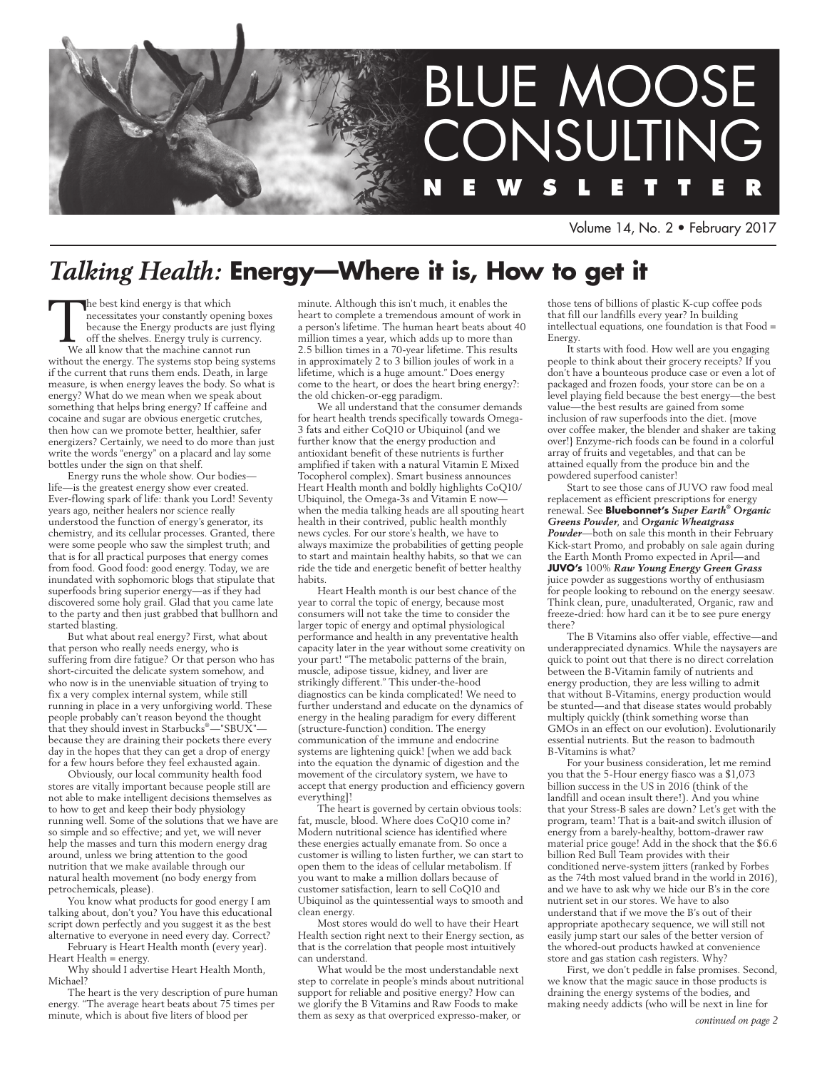

Volume 14, No. 2 • February 2017

## *Talking Health:* **Energy—Where it is, How to get it**

The best kind energy is that which necessitates your constantly opening boxes because the Energy products are just flying off the shelves. Energy truly is currency.

We all know that the machine cannot run without the energy. The systems stop being systems if the current that runs them ends. Death, in large measure, is when energy leaves the body. So what is energy? What do we mean when we speak about something that helps bring energy? If caffeine and cocaine and sugar are obvious energetic crutches, then how can we promote better, healthier, safer energizers? Certainly, we need to do more than just write the words "energy" on a placard and lay some bottles under the sign on that shelf.

Energy runs the whole show. Our bodies life—is the greatest energy show ever created. Ever-flowing spark of life: thank you Lord! Seventy years ago, neither healers nor science really understood the function of energy's generator, its chemistry, and its cellular processes. Granted, there were some people who saw the simplest truth; and that is for all practical purposes that energy comes from food. Good food: good energy. Today, we are inundated with sophomoric blogs that stipulate that superfoods bring superior energy—as if they had discovered some holy grail. Glad that you came late to the party and then just grabbed that bullhorn and started blasting.

But what about real energy? First, what about that person who really needs energy, who is suffering from dire fatigue? Or that person who has short-circuited the delicate system somehow, and who now is in the unenviable situation of trying to fix a very complex internal system, while still running in place in a very unforgiving world. These people probably can't reason beyond the thought  $\hat{\text{that}}$  they should invest in Starbucks $^{\circ}$ —"SBUX" because they are draining their pockets there every day in the hopes that they can get a drop of energy for a few hours before they feel exhausted again.

Obviously, our local community health food stores are vitally important because people still are not able to make intelligent decisions themselves as to how to get and keep their body physiology running well. Some of the solutions that we have are so simple and so effective; and yet, we will never help the masses and turn this modern energy drag around, unless we bring attention to the good nutrition that we make available through our natural health movement (no body energy from petrochemicals, please).

You know what products for good energy I am talking about, don't you? You have this educational script down perfectly and you suggest it as the best alternative to everyone in need every day. Correct?

February is Heart Health month (every year). Heart Health = energy.

Why should I advertise Heart Health Month, Michael?

The heart is the very description of pure human energy. "The average heart beats about 75 times per minute, which is about five liters of blood per

minute. Although this isn't much, it enables the heart to complete a tremendous amount of work in a person's lifetime. The human heart beats about 40 million times a year, which adds up to more than 2.5 billion times in a 70-year lifetime. This results in approximately 2 to 3 billion joules of work in a lifetime, which is a huge amount." Does energy come to the heart, or does the heart bring energy?: the old chicken-or-egg paradigm.

We all understand that the consumer demands for heart health trends specifically towards Omega-3 fats and either CoQ10 or Ubiquinol (and we further know that the energy production and antioxidant benefit of these nutrients is further amplified if taken with a natural Vitamin E Mixed Tocopherol complex). Smart business announces Heart Health month and boldly highlights CoQ10/ Ubiquinol, the Omega-3s and Vitamin E now when the media talking heads are all spouting heart health in their contrived, public health monthly news cycles. For our store's health, we have to always maximize the probabilities of getting people to start and maintain healthy habits, so that we can ride the tide and energetic benefit of better healthy habits.

Heart Health month is our best chance of the year to corral the topic of energy, because most consumers will not take the time to consider the larger topic of energy and optimal physiological performance and health in any preventative health capacity later in the year without some creativity on your part! "The metabolic patterns of the brain, muscle, adipose tissue, kidney, and liver are strikingly different." This under-the-hood diagnostics can be kinda complicated! We need to further understand and educate on the dynamics of energy in the healing paradigm for every different (structure-function) condition. The energy communication of the immune and endocrine systems are lightening quick! [when we add back into the equation the dynamic of digestion and the movement of the circulatory system, we have to accept that energy production and efficiency govern everything]!

The heart is governed by certain obvious tools: fat, muscle, blood. Where does CoQ10 come in? Modern nutritional science has identified where these energies actually emanate from. So once a customer is willing to listen further, we can start to open them to the ideas of cellular metabolism. If you want to make a million dollars because of customer satisfaction, learn to sell CoQ10 and Ubiquinol as the quintessential ways to smooth and clean energy.

Most stores would do well to have their Heart Health section right next to their Energy section, as that is the correlation that people most intuitively can understand.

What would be the most understandable next step to correlate in people's minds about nutritional support for reliable and positive energy? How can we glorify the B Vitamins and Raw Foods to make them as sexy as that overpriced expresso-maker, or

those tens of billions of plastic K-cup coffee pods that fill our landfills every year? In building intellectual equations, one foundation is that Food = Energy.

It starts with food. How well are you engaging people to think about their grocery receipts? If you don't have a bounteous produce case or even a lot of packaged and frozen foods, your store can be on a level playing field because the best energy—the best value—the best results are gained from some inclusion of raw superfoods into the diet. {move over coffee maker, the blender and shaker are taking over!} Enzyme-rich foods can be found in a colorful array of fruits and vegetables, and that can be attained equally from the produce bin and the powdered superfood canister!

Start to see those cans of JUVO raw food meal replacement as efficient prescriptions for energy renewal. See **Bluebonnet's** *Super Earth® Organic Greens Powder*, and *Organic Wheatgrass Powder*—both on sale this month in their February Kick-start Promo, and probably on sale again during the Earth Month Promo expected in April—and **JUVO's** 100% *Raw Young Energy Green Grass* juice powder as suggestions worthy of enthusiasm for people looking to rebound on the energy seesaw. Think clean, pure, unadulterated, Organic, raw and freeze-dried: how hard can it be to see pure energy there?

The B Vitamins also offer viable, effective—and underappreciated dynamics. While the naysayers are quick to point out that there is no direct correlation between the B-Vitamin family of nutrients and energy production, they are less willing to admit that without B-Vitamins, energy production would be stunted—and that disease states would probably multiply quickly (think something worse than GMOs in an effect on our evolution). Evolutionarily essential nutrients. But the reason to badmouth B-Vitamins is what?

For your business consideration, let me remind you that the 5-Hour energy fiasco was a \$1,073 billion success in the US in 2016 (think of the landfill and ocean insult there!). And you whine that your Stress-B sales are down? Let's get with the program, team! That is a bait-and switch illusion of energy from a barely-healthy, bottom-drawer raw material price gouge! Add in the shock that the \$6.6 billion Red Bull Team provides with their conditioned nerve-system jitters (ranked by Forbes as the 74th most valued brand in the world in 2016), and we have to ask why we hide our B's in the core nutrient set in our stores. We have to also understand that if we move the B's out of their appropriate apothecary sequence, we will still not easily jump start our sales of the better version of the whored-out products hawked at convenience store and gas station cash registers. Why?

First, we don't peddle in false promises. Second, we know that the magic sauce in those products is draining the energy systems of the bodies, and making needy addicts (who will be next in line for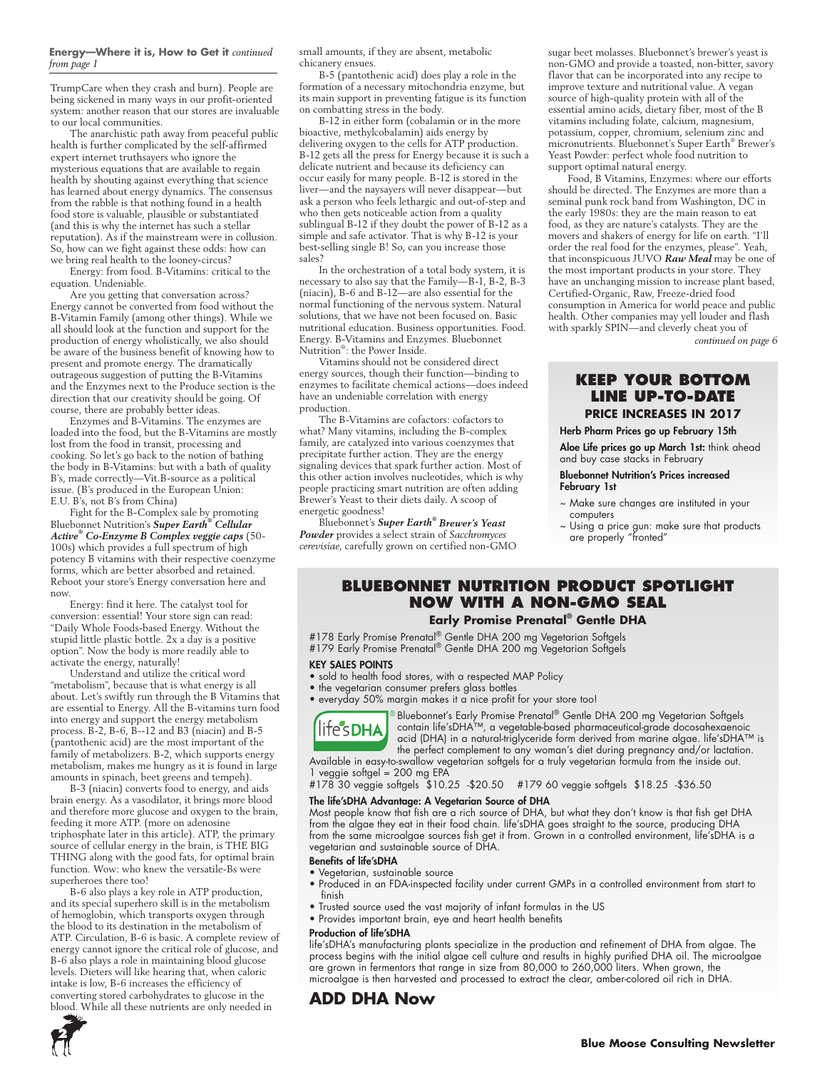#### **Energy—Where it is, How to Get it** *continued from page 1*

TrumpCare when they crash and burn). People are being sickened in many ways in our profit-oriented system: another reason that our stores are invaluable to our local communities.

The anarchistic path away from peaceful public health is further complicated by the self-affirmed expert internet truthsayers who ignore the mysterious equations that are available to regain health by shouting against everything that science has learned about energy dynamics. The consensus from the rabble is that nothing found in a health food store is valuable, plausible or substantiated (and this is why the internet has such a stellar reputation). As if the mainstream were in collusion. So, how can we fight against these odds: how can we bring real health to the looney-circus?

Energy: from food. B-Vitamins: critical to the equation. Undeniable.

Are you getting that conversation across? Energy cannot be converted from food without the B-Vitamin Family (among other things). While we all should look at the function and support for the production of energy wholistically, we also should be aware of the business benefit of knowing how to present and promote energy. The dramatically outrageous suggestion of putting the B-Vitamins and the Enzymes next to the Produce section is the direction that our creativity should be going. Of course, there are probably better ideas.

Enzymes and B-Vitamins. The enzymes are loaded into the food, but the B-Vitamins are mostly lost from the food in transit, processing and cooking. So let's go back to the notion of bathing the body in B-Vitamins: but with a bath of quality B's, made correctly—Vit.B-source as a political issue. (B's produced in the European Union: E.U. B's, not B's from China)

Fight for the B-Complex sale by promoting Bluebonnet Nutrition's *Super Earth® Cellular Active® Co-Enzyme B Complex veggie caps* (50- 100s) which provides a full spectrum of high potency B vitamins with their respective coenzyme forms, which are better absorbed and retained. Reboot your store's Energy conversation here and now.

Energy: find it here. The catalyst tool for conversion: essential! Your store sign can read: "Daily Whole Foods-based Energy. Without the stupid little plastic bottle. 2x a day is a positive option". Now the body is more readily able to activate the energy, naturally!

Understand and utilize the critical word "metabolism", because that is what energy is all about. Let's swiftly run through the B Vitamins that are essential to Energy. All the B-vitamins turn food into energy and support the energy metabolism process. B-2, B-6, B--12 and B3 (niacin) and B-5 (pantothenic acid) are the most important of the family of metabolizers. B-2, which supports energy metabolism, makes me hungry as it is found in large amounts in spinach, beet greens and tempeh).

B-3 (niacin) converts food to energy, and aids brain energy. As a vasodilator, it brings more blood and therefore more glucose and oxygen to the brain, feeding it more ATP. (more on adenosine triphosphate later in this article). ATP, the primary source of cellular energy in the brain, is THE BIG THING along with the good fats, for optimal brain function. Wow: who knew the versatile-Bs were superheroes there too!

B-6 also plays a key role in ATP production, and its special superhero skill is in the metabolism of hemoglobin, which transports oxygen through the blood to its destination in the metabolism of ATP. Circulation, B-6 is basic. A complete review of energy cannot ignore the critical role of glucose, and B-6 also plays a role in maintaining blood glucose levels. Dieters will like hearing that, when caloric intake is low, B-6 increases the efficiency of converting stored carbohydrates to glucose in the blood. While all these nutrients are only needed in

small amounts, if they are absent, metabolic chicanery ensues.

B-5 (pantothenic acid) does play a role in the formation of a necessary mitochondria enzyme, but its main support in preventing fatigue is its function on combatting stress in the body.

B-12 in either form (cobalamin or in the more bioactive, methylcobalamin) aids energy by delivering oxygen to the cells for ATP production. B-12 gets all the press for Energy because it is such a delicate nutrient and because its deficiency can occur easily for many people. B-12 is stored in the liver—and the naysayers will never disappear—but ask a person who feels lethargic and out-of-step and who then gets noticeable action from a quality sublingual B-12 if they doubt the power of B-12 as a simple and safe activator. That is why B-12 is your best-selling single B! So, can you increase those sales?

In the orchestration of a total body system, it is necessary to also say that the Family—B-1, B-2, B-3 (niacin), B-6 and B-12—are also essential for the normal functioning of the nervous system. Natural solutions, that we have not been focused on. Basic nutritional education. Business opportunities. Food. Energy. B-Vitamins and Enzymes. Bluebonnet Nutrition® : the Power Inside.

Vitamins should not be considered direct energy sources, though their function—binding to enzymes to facilitate chemical actions—does indeed have an undeniable correlation with energy production.

The B-Vitamins are cofactors: cofactors to what? Many vitamins, including the B-complex family, are catalyzed into various coenzymes that precipitate further action. They are the energy signaling devices that spark further action. Most of this other action involves nucleotides, which is why people practicing smart nutrition are often adding Brewer's Yeast to their diets daily. A scoop of energetic goodness!

Bluebonnet's *Super Earth® Brewer's Yeast Powder* provides a select strain of *Sacchromyces cerevisiae*, carefully grown on certified non-GMO sugar beet molasses. Bluebonnet's brewer's yeast is non-GMO and provide a toasted, non-bitter, savory flavor that can be incorporated into any recipe to improve texture and nutritional value. A vegan source of high-quality protein with all of the essential amino acids, dietary fiber, most of the B vitamins including folate, calcium, magnesium, potassium, copper, chromium, selenium zinc and micronutrients. Bluebonnet's Super Earth® Brewer's Yeast Powder: perfect whole food nutrition to support optimal natural energy.

Food, B Vitamins, Enzymes: where our efforts should be directed. The Enzymes are more than a seminal punk rock band from Washington, DC in the early 1980s: they are the main reason to eat food, as they are nature's catalysts. They are the movers and shakers of energy for life on earth. "I'll order the real food for the enzymes, please". Yeah, that inconspicuous JUVO *Raw Meal* may be one of the most important products in your store. They have an unchanging mission to increase plant based, Certified-Organic, Raw, Freeze-dried food consumption in America for world peace and public health. Other companies may yell louder and flash with sparkly SPIN—and cleverly cheat you of

*continued on page 6*

### **Keep your bottom line up-to-Date**

#### **PRICE INCREASES IN 2017**

Herb Pharm Prices go up February 15th

Aloe Life prices go up March 1st: think ahead and buy case stacks in February

#### Bluebonnet Nutrition's Prices increased February 1st

- ~ Make sure changes are instituted in your computers
- ~ Using a price gun: make sure that products are properly "fronted"

### **Bluebonnet Nutrition PRODUCT SPOTLIGHT Now with a non-GMO seal**

**Early Promise Prenatal® Gentle DHA** 

#178 Early Promise Prenatal® Gentle DHA 200 mg Vegetarian Softgels #179 Early Promise Prenatal® Gentle DHA 200 mg Vegetarian Softgels

#### KEY SALES POINTS

- sold to health food stores, with a respected MAP Policy
- the vegetarian consumer prefers glass bottles
- everyday 50% margin makes it a nice profit for your store too!



Bluebonnet's Early Promise Prenatal® Gentle DHA 200 mg Vegetarian Softgels contain life'sDHA™, a vegetable-based pharmaceutical-grade docosahexaenoic acid (DHA) in a natural-triglyceride form derived from marine algae. life'sDHA™ is the perfect complement to any woman's diet during pregnancy and/or lactation.

Available in easy-to-swallow vegetarian softgels for a truly vegetarian formula from the inside out. 1 veggie softgel = 200 mg EPA

#178 30 veggie softgels \$10.25 -\$20.50 #179 60 veggie softgels \$18.25 -\$36.50

#### The life'sDHA Advantage: A Vegetarian Source of DHA

Most people know that fish are a rich source of DHA, but what they don't know is that fish get DHA from the algae they eat in their food chain. life'sDHA goes straight to the source, producing DHA from the same microalgae sources fish get it from. Grown in a controlled environment, life'sDHA is a vegetarian and sustainable source of DHA.

#### Benefits of life'sDHA

- Vegetarian, sustainable source
- Produced in an FDA-inspected facility under current GMPs in a controlled environment from start to finish
- Trusted source used the vast majority of infant formulas in the US
- Provides important brain, eye and heart health benefits

#### Production of life'sDHA

life'sDHA's manufacturing plants specialize in the production and refinement of DHA from algae. The process begins with the initial algae cell culture and results in highly purified DHA oil. The microalgae are grown in fermentors that range in size from 80,000 to 260,000 liters. When grown, the microalgae is then harvested and processed to extract the clear, amber-colored oil rich in DHA.

### **ADD DHA Now**

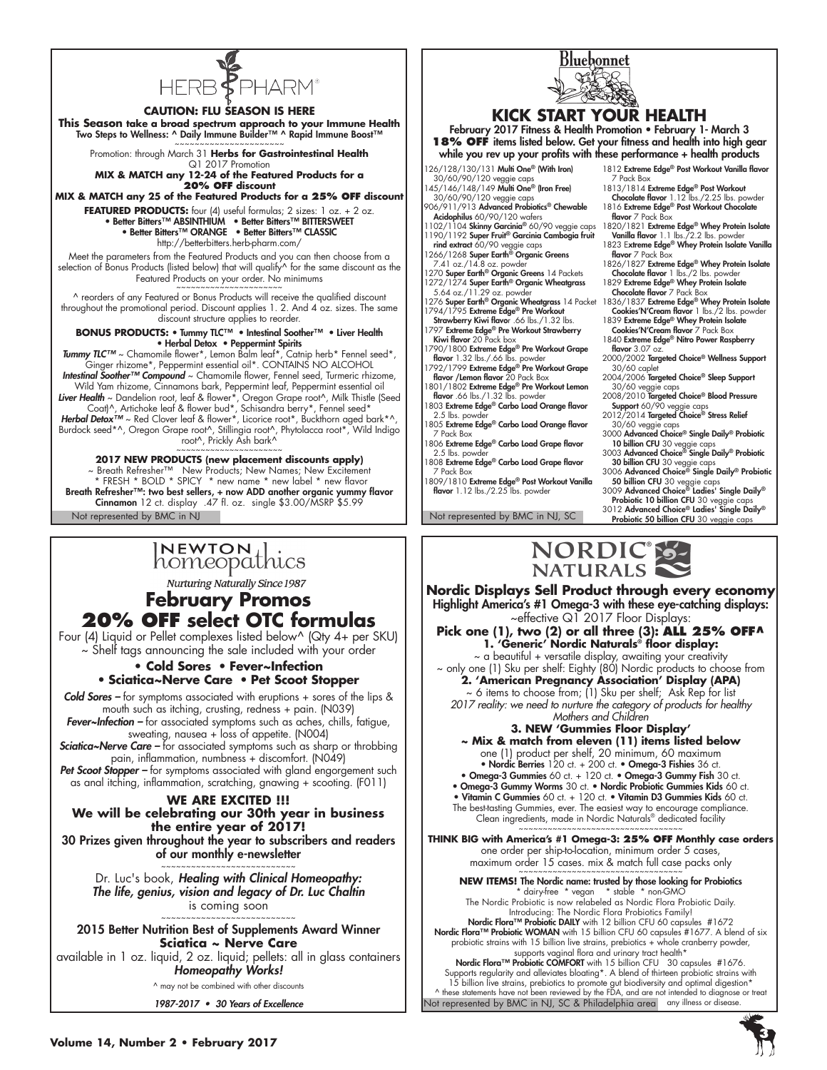

#### **CAUTION: FLU SEASON IS HERE**

**This Season take a broad spectrum approach to your Immune Health** Two Steps to Wellness: ^ Daily Immune Builder™ ^ Rapid Immune Boost™<br>~~~~~~~~~~~~~~~~~~~~~~~~

Promotion: through March 31 **Herbs for Gastrointestinal Health** Q1 2017 Promotion

**MIX & MATCH any 12-24 of the Featured Products for a 20% OFF discount**

**MIX & MATCH any 25 of the Featured Products for a 25% OFF discount FEATURED PRODUCTS:** four (4) useful formulas; 2 sizes: 1 oz. + 2 oz. • Better Bitters™ ABSINTHIUM • Better Bitters™ BITTERSWEET

• Better Bitters™ ORANGE • Better Bitters™ CLASSIC http://betterbitters.herb-pharm.com/

Meet the parameters from the Featured Products and you can then choose from a selection of Bonus Products (listed below) that will qualify^ for the same discount as the Featured Products on your order. No minimums

^ reorders of any Featured or Bonus Products will receive the qualified discount throughout the promotional period. Discount applies 1. 2. And 4 oz. sizes. The same discount structure applies to reorder.

**BONUS PRODUCTS:** • Tummy TLC™ • Intestinal Soother™ • Liver Health • Herbal Detox • Peppermint Spirits

*Tummy TLC™* ~ Chamomile flower\*, Lemon Balm leaf\*, Catnip herb\* Fennel seed\*, Ginger rhizome\*, Peppermint essential oil\*. CONTAINS NO ALCOHOL *Intestinal Soother™ Compound* ~ Chamomile flower, Fennel seed, Turmeric rhizome,

Wild Yam rhizome, Cinnamons bark, Peppermint leaf, Peppermint essential oil *Liver Health* ~ Dandelion root, leaf & flower\*, Oregon Grape root^, Milk Thistle (Seed

Coat)^, Artichoke leaf & flower bud\*, Schisandra berry\*, Fennel seed\*<br>Herbal Detox™ ~ Red Clover leaf & flower\*, Licorice root\*, Buckthorn aged bark\*^, Burdock seed\*^, Oregon Grape root^, Stillingia root^, Phytolacca root\*, Wild Indigo

root^, Prickly Ash bark^ ~~~~~~~~~~~~~~~~~~~~~~

#### **2017 NEW PRODUCTS (new placement discounts apply)**

Not represented by BMC in NJ Not represented by BMC in NJ, SC ~ Breath Refresher™ New Products; New Names; New Excitement \* FRESH \* BOLD \* SPICY \* new name \* new label \* new flavor Breath Refresher™: two best sellers, + now ADD another organic yummy flavor Cinnamon 12 ct. display .47 fl. oz. single \$3.00/MSRP \$5.99

# INEWTON di

**Nurturing Naturally Since 1987** 

### **February Promos 20% OFF select OTC formulas**

Four (4) Liquid or Pellet complexes listed below^ (Qty 4+ per SKU) ~ Shelf tags announcing the sale included with your order

> **• Cold Sores** • **Fever~Infection**  • **Sciatica~Nerve Care** • **Pet Scoot Stopper**

*Cold Sores –* for symptoms associated with eruptions + sores of the lips & mouth such as itching, crusting, redness + pain. (N039) *Fever~Infection –* for associated symptoms such as aches, chills, fatigue,

sweating, nausea +  $\sqrt{10}$  loss of appetite. (N004)

*Sciatica~Nerve Care –* for associated symptoms such as sharp or throbbing pain, inflammation, numbness + discomfort. (N049)

**Pet Scoot Stopper –** for symptoms associated with gland engorgement such as anal itching, inflammation, scratching, gnawing + scooting. (F011)

#### **WE ARE EXCITED !!!**

**We will be celebrating our 30th year in business the entire year of 2017!**

30 Prizes given throughout the year to subscribers and readers of our monthly e-newsletter

~~~~~~~~~~~~~~~~~~~~~~~ Dr. Luc's book, *Healing with Clinical Homeopathy: The life, genius, vision and legacy of Dr. Luc Chaltin* is coming soon

~~~~~~~~~~~~~~~~~~~~~~~ 2015 Better Nutrition Best of Supplements Award Winner **Sciatica ~ Nerve Care**

available in 1 oz. liquid, 2 oz. liquid; pellets: all in glass containers *Homeopathy Works!*

^ may not be combined with other discounts

1987-2017 • 30 Years of Excellence



### **KICK START YOUR HEALTH**

February 2017 Fitness & Health Promotion • February 1- March 3 **18% OFF** items listed below. Get your fitness and health into high gear while you rev up your profits with these performance + health products

- 126/128/130/131 Multi One® (With Iron)
- 30/60/90/120 veggie caps 145/146/148/149 Multi One® (Iron Free)
- 30/60/90/120 veggie caps 906/911/913 Advanced Probiotics® Chewable
- **Acidophilus** 60/90/120 wafers<br>1102/1104 **Skinny Garcinia®** 60/90 veggie caps
- 1190/1192 Super Fruit® Garcinia Cambogia fruit
- rind extract 60/90 veggie caps 1266/1268 Super Earth® Organic Greens
- 7.41 oz./14.8 oz. powder
- 
- 1270 **Super Earth® Organic Greens** 14 Packets<br>1272/1274 **Super Earth® Organic Wheatgrass**<br>5.64 oz./11.29 oz. powder 1276 **Super Earth® Organic Wheatgrass** 14 Packet<br>1794/1795 **Extreme Edge® Pre Workout**
- Strawberry Kiwi flavor .66 lbs./1.32 lbs.
- 1797 Extreme Edge® Pre Workout Strawberry Kiwi flavor 20 Pack box 1790/1800 Extreme Edge® Pre Workout Grape
- flavor 1.32 lbs./.66 lbs. powder<br>1792/1799 Extreme Edge® Pre Workout Grape
- flavor /Lemon flavor 20 Pack Box
- 1801/1802 Extreme Edge® Pre Workout Lemon<br>flavor .66 lbs./1.32 lbs. powder 1803 Extreme Edge® Carbo Load Orange flavor
- $2.5$  lbs. powde 1805 Extreme Edge® Carbo Load Orange flavor
- 7 Pack Box 1806 Extreme Edge® Carbo Load Grape flavor
- 2.5 lbs. powde
- 1808 Extreme Edge® Carbo Load Grape flavor 7 Pack Box
- 1809/1810 Extreme Edge® Post Workout Vanilla flavor 1.12 lbs./2.25 lbs. powder

- 1812 Extreme Edge® Post Workout Vanilla flavor 7 Pack Box
- 1813/1814 Extreme Edge® Post Workout Chocolate flavor 1.12 lbs./2.25 lbs. powder
- 1816 Extreme Edge® Post Workout Chocolate flavor 7 Pack Box<br>1820/1821 Extreme Edge® Whey Protein Isolate
- Vanilla flavor 1.1 lbs./2.2 lbs. powder
- 1823 Extreme Edge® Whey Protein Isolate Vanilla flavor 7 Pack Box
- 1826/1827 Extreme Edge® Whey Protein Isolate
- Chocolate flavor 1 lbs./2 lbs. powder 1829 Extreme Edge® Whey Protein Isolate Chocolate flavor 7 Pack Box
- 1836/1837 Extreme Edge® Whey Protein Isolate<br>Cookies'N'Cream flavor 1 lbs./2 lbs. powder
- 1839 Extreme Edge® Whey Protein Isolate
- Cookies'N'Cream flavor 7 Pack Box 1840 Extreme Edge® Nitro Power Raspberry flavor 3.07 oz.
- 2000/2002 Targeted Choice® Wellness Support 30/60 caplet
- 2004/2006 Targeted Choice® Sleep Support 30/60 veggie caps<br>2008/2010 **Targeted Choice® Blood Pressure**
- Support 60/90 veggie caps 2012/2014 Targeted Choice® Stress Relief
- 30/60 veggie caps
- 3000 Advanced Choice® Single Daily® Probiotic
- 10 billion CFU 30 veggie caps 3003 Advanced Choice® Single Daily® Probiotic 30 billion CFU 30 veggie caps 3006 Advanced Choice® Single Daily® Probiotic
- 
- 50 billion CFU 30 veggie caps 3009 Advanced Choice® Ladies' Single Daily® Probiotic 10 billion CFU 30 veggie caps 3012 Advanced Choice® Ladies' Single Daily®
- Probiotic 50 billion CFU 30 veggie caps



**Nordic Displays Sell Product through every economy** Highlight America's #1 Omega-3 with these eye-catching displays: ~effective Q1 2017 Floor Displays:

**Pick one (1), two (2) or all three (3): ALL 25% OFF^ 1. 'Generic' Nordic Naturals® floor display:**

~ a beautiful + versatile display, awaiting your creativity ~ only one (1) Sku per shelf: Eighty (80) Nordic products to choose from **2. 'American Pregnancy Association' Display (APA)**  $\sim$  6 items to choose from; (1) Sku per shelf; Ask Rep for list *2017 reality: we need to nurture the category of products for healthy* 

- *Mothers and Children* **3. NEW 'Gummies Floor Display'**
- **~ Mix & match from eleven (11) items listed below** one (1) product per shelf, 20 minimum, 60 maximum • Nordic Berries 120 ct. + 200 ct. • Omega-3 Fishies 36 ct.
- Omega-3 Gummies 60 ct. + 120 ct. Omega-3 Gummy Fish 30 ct.
- Omega-3 Gummy Worms 30 ct. Nordic Probiotic Gummies Kids 60 ct.
- Vitamin C Gummies 60 ct. + 120 ct. Vitamin D3 Gummies Kids 60 ct. The best-tasting Gummies, ever. The easiest way to encourage compliance. Clean ingredients, made in Nordic Naturals® dedicated facility

~~~~~~~~~~~~~~~~~~~~~~~~~~~~~~~~~~ **THINK BIG with America's #1 Omega-3: 25% OFF Monthly case orders** one order per ship-to-location, minimum order 5 cases, maximum order 15 cases. mix & match full case packs only

**NEW ITEMS!** The Nordic name: trusted by those looking for Probiotics \* dairy-free \* vegan \* stable \* non-GMO The Nordic Probiotic is now relabeled as Nordic Flora Probiotic Daily.

Introducing: The Nordic Flora Probiotics Family!<br>Nordic Flora™ Probiotic DAILY with 12 billion CFU 60 capsules #1672<br>Nordic Flora™ Probiotic WOMAN with 15 billion CFU 60 capsules #1677. A blend of six

probiotic strains with 15 billion live strains, prebiotics + whole cranberry powder, supports vaginal flora and urinary tract health\*

Not represented by BMC in NJ, SC & Philadelphia area Nordic Flora™ Probiotic COMFORT with 15 billion CFU 30 capsules #1676. Supports regularity and alleviates bloating\*. A blend of thirteen probiotic strains with 15 billion live strains, prebiotics to promote gut biodiversity and optimal digestion\*<br>^ these statements have not been reviewed by the FDA, and are not intended to diagnose or treat<br>^t represented by BMC in NJ. SC & Phila

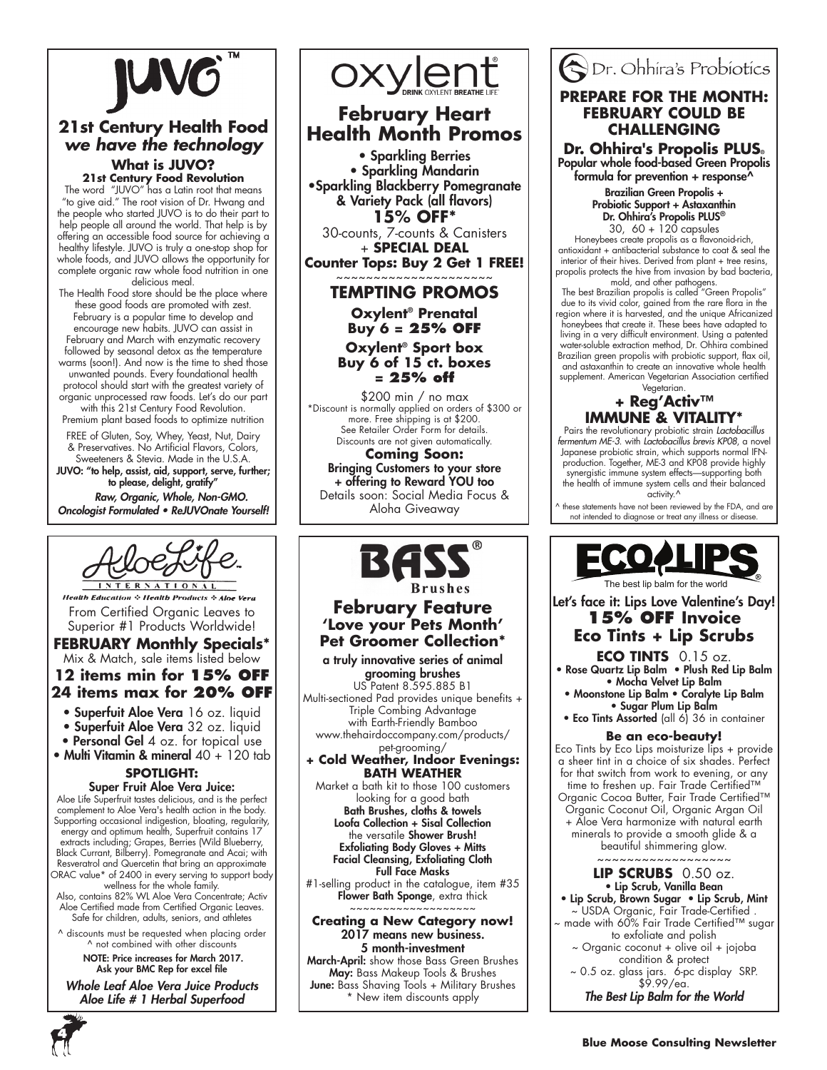

### **21st Century Health Food** *we have the technology* **What is JUVO?**

**21st Century Food Revolution**

The word "JUVO" has a Latin root that means "to give aid." The root vision of Dr. Hwang and the people who started JUVO is to do their part to help people all around the world. That help is by offering an accessible food source for achieving a healthy lifestyle. JUVO is truly a one-stop shop for whole foods, and JUVO allows the opportunity for complete organic raw whole food nutrition in one delicious meal.

The Health Food store should be the place where these good foods are promoted with zest. February is a popular time to develop and encourage new habits. JUVO can assist in February and March with enzymatic recovery followed by seasonal detox as the temperature warms (soon!). And now is the time to shed those unwanted pounds. Every foundational health protocol should start with the greatest variety of organic unprocessed raw foods. Let's do our part with this 21st Century Food Revolution.

Premium plant based foods to optimize nutrition

FREE of Gluten, Soy, Whey, Yeast, Nut, Dairy & Preservatives. No Artificial Flavors, Colors, Sweeteners & Stevia. Made in the U.S.A. JUVO: "to help, assist, aid, support, serve, further; to please, delight, gratify"  *Raw, Organic, Whole, Non-GMO.* 

Oncologist Formulated • ReJUVOnate Yourself!



**Health Education : Health Products : Aloe Vera** From Certified Organic Leaves to Superior #1 Products Worldwide!

#### **FEBRUARY Monthly Specials\*** Mix & Match, sale items listed below **12 items min for 15% off**

## **24 items max for 20% off**

• Superfuit Aloe Vera 16 oz. liquid • Superfuit Aloe Vera 32 oz. liquid

- Personal Gel 4 oz. for topical use
- Multi Vitamin & mineral 40 + 120 tab

### **SPOTLIGHT:**

Super Fruit Aloe Vera Juice: Aloe Life Superfruit tastes delicious, and is the perfect complement to Aloe Vera's health action in the body. Supporting occasional indigestion, bloating, regularity, energy and optimum health, Superfruit contains 17 extracts including; Grapes, Berries (Wild Blueberry, Black Currant, Bilberry). Pomegranate and Acai; with Resveratrol and Quercetin that bring an approximate ORAC value\* of 2400 in every serving to support body wellness for the whole family.

Also, contains 82% WL Aloe Vera Concentrate; Activ Aloe Certified made from Certified Organic Leaves. Safe for children, adults, seniors, and athletes

^ discounts must be requested when placing order ^ not combined with other discounts

 NOTE: Price increases for March 2017. Ask your BMC Rep for excel file

Whole Leaf Aloe Vera Juice Products *Aloe Life # 1 Herbal Superfood*



### **February Heart Health Month Promos**

• Sparkling Berries • Sparkling Mandarin •Sparkling Blackberry Pomegranate & Variety Pack (all flavors) **15% OFF\*** 30-counts, 7-counts & Canisters

+ **SPECIAL DEAL**

**Counter Tops: Buy 2 Get 1 FREE!** ~~~~~~~~~~~~~~~~~~~~~

#### **TEMPTING PROMOS**

**Oxylent® Prenatal Buy 6 = 25% OFF**

**Oxylent® Sport box Buy 6 of 15 ct. boxes = 25% off**

\$200 min / no max \*Discount is normally applied on orders of \$300 or more. Free shipping is at \$200. See Retailer Order Form for details. Discounts are not given automatically.

**Coming Soon:** Bringing Customers to your store + offering to Reward YOU too Details soon: Social Media Focus & Aloha Giveaway



### **February Feature 'Love your Pets Month' Pet Groomer Collection\***

a truly innovative series of animal grooming brushes US Patent 8.595.885 B1 Multi-sectioned Pad provides unique benefits + Triple Combing Advantage with Earth-Friendly Bamboo

www.thehairdoccompany.com/products/ pet-grooming/

#### **+ Cold Weather, Indoor Evenings: BATH WEATHER**

Market a bath kit to those 100 customers looking for a good bath Bath Brushes, cloths & towels Loofa Collection + Sisal Collection the versatile **Shower Brush!** Exfoliating Body Gloves + Mitts Facial Cleansing, Exfoliating Cloth Full Face Masks

#1-selling product in the catalogue, item #35 Flower Bath Sponge, extra thick ~~~~~~~~~~~~~~~~~~~

**Creating a New Category now!** 2017 means new business. 5 month-investment

March-April: show those Bass Green Brushes May: Bass Makeup Tools & Brushes June: Bass Shaving Tools + Military Brushes \* New item discounts apply

### Dr. Ohhira's Probiotics **PREPARE FOR THE MONTH: FEBRUARY COULD BE CHALLENGING**

**Dr. Ohhira's Propolis PLUS®** Popular whole food-based Green Propolis formula for prevention  $+$  response<sup> $\wedge$ </sup>

Brazilian Green Propolis + Probiotic Support + Astaxanthin **Dr. Ohhira's Propolis PLUS®**<br>30, 60 + 120 capsules

30, 60 + 120 capsules Honeybees create propolis as a flavonoid-rich, antioxidant + antibacterial substance to coat & seal the interior of their hives. Derived from plant + tree resins, propolis protects the hive from invasion by bad bacteria,

mold, and other pathogens. The best Brazilian propolis is called "Green Propolis" due to its vivid color, gained from the rare flora in the region where it is harvested, and the unique Africanized honeybees that create it. These bees have adapted to living in a very difficult environment. Using a patented water-soluble extraction method, Dr. Ohhira combined Brazilian green propolis with probiotic support, flax oil, and astaxanthin to create an innovative whole health supplement. American Vegetarian Association certified

#### Vegetarian. **+ Reg'Activ™ IMMUNE & VITALITY\***

Pairs the revolutionary probiotic strain *Lactobacillus fermentum ME-3*. with *Lactobacillus brevis KP08*, a novel Japanese probiotic strain, which supports normal IFNproduction. Together, ME-3 and KP08 provide highly synergistic immune system effects—supporting both the health of immune system cells and their balanced activity.<sup>^</sup>

these statements have not been reviewed by the FDA, and are not intended to diagnose or treat any illness or disease.



Let's face it: Lips Love Valentine's Day! **15% OFF Invoice Eco Tints + Lip Scrubs**

#### **ECO TINTS** 0.15 oz. • Rose Quartz Lip Balm • Plush Red Lip Balm • Mocha Velvet Lip Balm

• Moonstone Lip Balm • Coralyte Lip Balm • Sugar Plum Lip Balm

• Eco Tints Assorted (all 6) 36 in container

#### **Be an eco-beauty!**

Eco Tints by Eco Lips moisturize lips + provide a sheer tint in a choice of six shades. Perfect for that switch from work to evening, or any time to freshen up. Fair Trade Certified™ Organic Cocoa Butter, Fair Trade Certified™ Organic Coconut Oil, Organic Argan Oil + Aloe Vera harmonize with natural earth minerals to provide a smooth glide & a beautiful shimmering glow.

~~~~~~~~~~~~~~~~~~

#### **LIP SCRUBS** 0.50 oz. • Lip Scrub, Vanilla Bean

• Lip Scrub, Brown Sugar • Lip Scrub, Mint ~ USDA Organic, Fair Trade-Certified . ~ made with 60% Fair Trade Certified™ sugar to exfoliate and polish ~ Organic coconut + olive oil + jojoba condition & protect

~ 0.5 oz. glass jars. 6-pc display SRP. \$9.99/ea.

*The Best Lip Balm for the World*

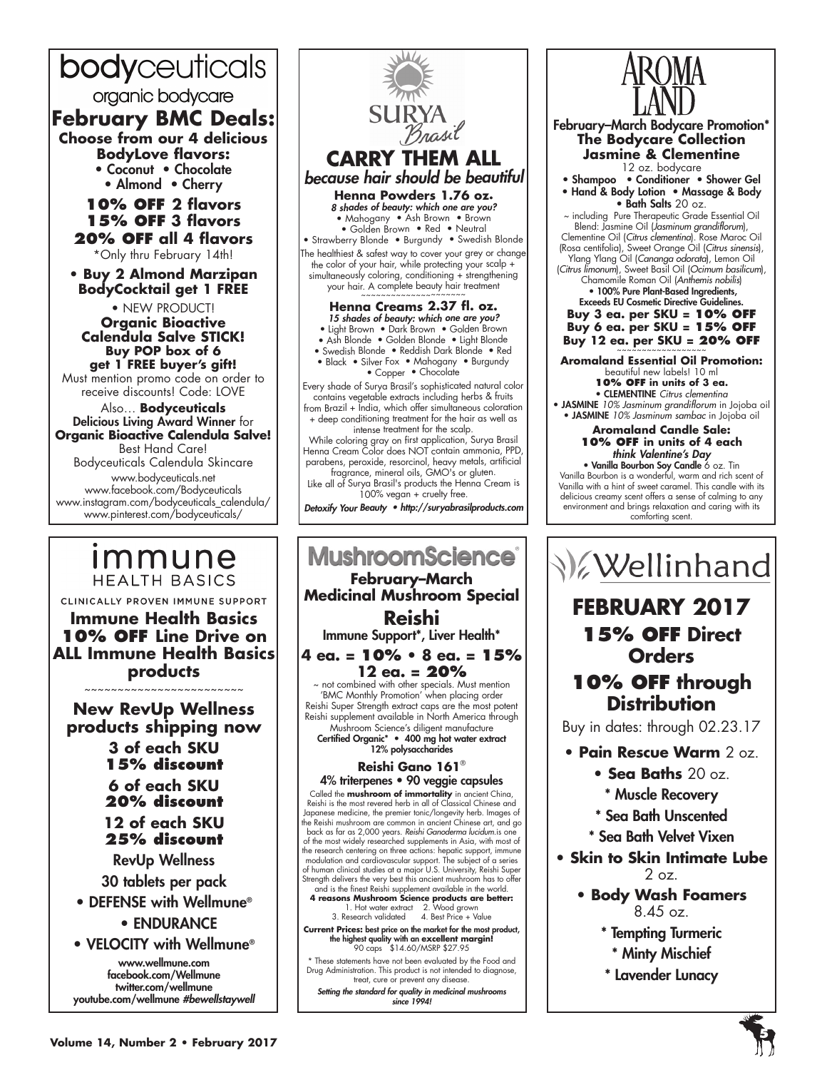## bodyceuticals

organic bodycare

### **February BMC Deals:**

**Choose from our 4 delicious BodyLove flavors:** • Coconut • Chocolate

• Almond • Cherry

#### **10% off 2 flavors 15% off 3 flavors 20% off all 4 flavors**

\*Only thru February 14th!

**• Buy 2 Almond Marzipan BodyCocktail get 1 FREE**

• NEW PRODUCT! **Organic Bioactive Calendula Salve STICK! Buy POP box of 6 get 1 FREE buyer's gift!**

Must mention promo code on order to receive discounts! Code: LOVE

Also… **Bodyceuticals** Delicious Living Award Winner for **Organic Bioactive Calendula Salve!**  Best Hand Care!

Bodyceuticals Calendula Skincare www.bodyceuticals.net www.facebook.com/Bodyceuticals www.instagram.com/bodyceuticals\_calendula/ www.pinterest.com/bodyceuticals/

## *Immune* **HEALTH BASICS**

CLINICALLY PROVEN IMMUNE SUPPORT **Immune Health Basics 10% OFF Line Drive on ALL Immune Health Basics products** 

~~~~~~~~~~~~~~~~~~~~~~

**New RevUp Wellness products shipping now 3 of each SKU 15% discount 6 of each SKU 20% discount 12 of each SKU 25% discount**  RevUp Wellness 30 tablets per pack • DEFENSE with Wellmune® • ENDURANCE • VELOCITY with Wellmune®

www.wellmune.com facebook.com/Wellmune twitter.com/wellmune youtube.com/wellmune *#bewellstaywell*



#### **MushroomScience February–March Medicinal Mushroom Special Reishi** Immune Support\*, Liver Health\* **4 ea. = 10% • 8 ea. = 15% 12 ea. = 20%** not combined with other specials. Must mention 'BMC Monthly Promotion' when placing order Reishi Super Strength extract caps are the most potent Reishi supplement available in North America through Mushroom Science's diligent manufacture Certified Organic\* • 400 mg hot water extract

12% polysaccharides

#### **Reishi Gano 161**® 4% triterpenes • 90 veggie capsules

Called the **mushroom of immortality** in ancient China, Reishi is the most revered herb in all of Classical Chinese and Japanese medicine, the premier tonic/longevity herb. Images of the Reishi mushroom are common in ancient Chinese art, and go<br>back as far as 2,000 years. *Reishi Ganoderma lucidum*.is one<br>of the most widely researched supplements in Asia, with most of the research centering on three actions: hepatic support, immune modulation and cardiovascular support. The subject of a series of human clinical studies at a major U.S. University, Reishi Super Strength delivers the very best this ancient mushroom has to offer and is the finest Reishi supplement available in the world.

**4 reasons Mushroom Science products are better:** 1. Hot water extract 2. Wood grown 3. Research validated 4. Best Price + Value

**Current Prices:** best price on the market for the most product,<br>the highest quality with an **excellent margin!**<br>90 caps \$14.60/MSRP \$27.95

\* These statements have not been evaluated by the Food and Drug Administration. This product is not intended to diagnose, treat, cure or prevent any disease.

*Setting the standard for quality in medicinal mushrooms since 1994!*



AROMA



## **FEBRUARY 2017 15% OFF Direct Orders**

### **10% OFF through Distribution**

Buy in dates: through 02.23.17

- **Pain Rescue Warm** 2 oz.
	- **Sea Baths** 20 oz.
	- \* Muscle Recovery
	- \* Sea Bath Unscented
	- \* Sea Bath Velvet Vixen
- **Skin to Skin Intimate Lube**  $2$  oz.
	- **Body Wash Foamers**  8.45 oz.
		- \* Tempting Turmeric
			- \* Minty Mischief
		- \* Lavender Lunacy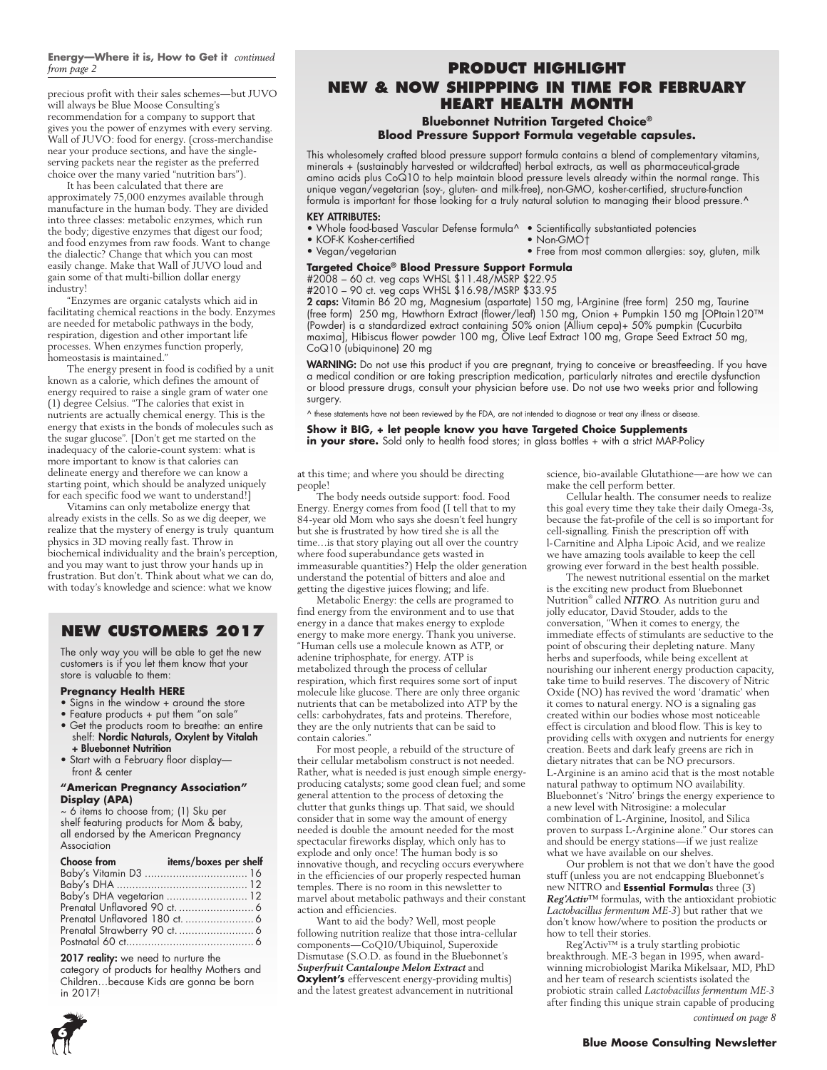## **Energy—Where it is, How to Get it** *continued*

precious profit with their sales schemes—but JUVO will always be Blue Moose Consulting's recommendation for a company to support that gives you the power of enzymes with every serving. Wall of JUVO: food for energy. (cross-merchandise near your produce sections, and have the singleserving packets near the register as the preferred choice over the many varied "nutrition bars").

It has been calculated that there are approximately 75,000 enzymes available through manufacture in the human body. They are divided into three classes: metabolic enzymes, which run the body; digestive enzymes that digest our food; and food enzymes from raw foods. Want to change the dialectic? Change that which you can most easily change. Make that Wall of JUVO loud and gain some of that multi-billion dollar energy industry!

"Enzymes are organic catalysts which aid in facilitating chemical reactions in the body. Enzymes are needed for metabolic pathways in the body, respiration, digestion and other important life processes. When enzymes function properly, homeostasis is maintained."

The energy present in food is codified by a unit known as a calorie, which defines the amount of energy required to raise a single gram of water one (1) degree Celsius. "The calories that exist in nutrients are actually chemical energy. This is the energy that exists in the bonds of molecules such as the sugar glucose". [Don't get me started on the inadequacy of the calorie-count system: what is more important to know is that calories can delineate energy and therefore we can know a starting point, which should be analyzed uniquely for each specific food we want to understand!]

Vitamins can only metabolize energy that already exists in the cells. So as we dig deeper, we realize that the mystery of energy is truly quantum physics in 3D moving really fast. Throw in biochemical individuality and the brain's perception, and you may want to just throw your hands up in frustration. But don't. Think about what we can do, with today's knowledge and science: what we know

### **NEW CUSTOMERS 2017**

The only way you will be able to get the new customers is if you let them know that your store is valuable to them:

#### **Pregnancy Health HERE**

- Signs in the window + around the store
- Feature products + put them "on sale"
- Get the products room to breathe: an entire shelf: Nordic Naturals, Oxylent by Vitalah + Bluebonnet Nutrition
- Start with a February floor display front & center

#### **"American Pregnancy Association" Display (APA)**

~ 6 items to choose from; (1) Sku per shelf featuring products for Mom & baby, all endorsed by the American Pregnancy Association

| Choose from               | items/boxes per shelf |
|---------------------------|-----------------------|
|                           |                       |
|                           |                       |
| Baby's DHA vegetarian  12 |                       |
|                           |                       |
|                           |                       |
|                           |                       |
|                           |                       |

#### 2017 reality: we need to nurture the

category of products for healthy Mothers and Children…because Kids are gonna be born in 2017!

#### *from page 2* **Product Highlight NEW & NOW SHIPPPING In Time for February Heart Health Month**

#### **Bluebonnet Nutrition Targeted Choice® Blood Pressure Support Formula vegetable capsules.**

This wholesomely crafted blood pressure support formula contains a blend of complementary vitamins, minerals + (sustainably harvested or wildcrafted) herbal extracts, as well as pharmaceutical-grade amino acids plus CoQ10 to help maintain blood pressure levels already within the normal range. This unique vegan/vegetarian (soy-, gluten- and milk-free), non-GMO, kosher-certified, structure-function formula is important for those looking for a truly natural solution to managing their blood pressure.^

#### KEY ATTRIBUTES:

- Whole food-based Vascular Defense formula^ Scientifically substantiated potencies • KOF-K Kosher-certified
	-
- Vegan/vegetarian Free from most common allergies: soy, gluten, milk

### **Targeted Choice® Blood Pressure Support Formula**

#2008 – 60 ct. veg caps WHSL \$11.48/MSRP \$22.95 #2010 – 90 ct. veg caps WHSL \$16.98/MSRP \$33.95

2 caps: Vitamin B6 20 mg, Magnesium (aspartate) 150 mg, l-Arginine (free form) 250 mg, Taurine (free form) 250 mg, Hawthorn Extract (flower/leaf) 150 mg, Onion + Pumpkin 150 mg [OPtain120™ (Powder) is a standardized extract containing 50% onion (Allium cepa)+ 50% pumpkin (Cucurbita maxima], Hibiscus flower powder 100 mg, Olive Leaf Extract 100 mg, Grape Seed Extract 50 mg, CoQ10 (ubiquinone) 20 mg

WARNING: Do not use this product if you are pregnant, trying to conceive or breastfeeding. If you have a medical condition or are taking prescription medication, particularly nitrates and erectile dysfunction or blood pressure drugs, consult your physician before use. Do not use two weeks prior and following surgery.

^ these statements have not been reviewed by the FDA, are not intended to diagnose or treat any illness or disease.

#### **Show it BIG, + let people know you have Targeted Choice Supplements in your store.** Sold only to health food stores; in glass bottles + with a strict MAP-Policy

at this time; and where you should be directing people!

The body needs outside support: food. Food Energy. Energy comes from food (I tell that to my 84-year old Mom who says she doesn't feel hungry but she is frustrated by how tired she is all the time…is that story playing out all over the country where food superabundance gets wasted in immeasurable quantities?) Help the older generation understand the potential of bitters and aloe and getting the digestive juices flowing; and life.

Metabolic Energy: the cells are programed to find energy from the environment and to use that energy in a dance that makes energy to explode energy to make more energy. Thank you universe. "Human cells use a molecule known as ATP, or adenine triphosphate, for energy. ATP is metabolized through the process of cellular respiration, which first requires some sort of input molecule like glucose. There are only three organic nutrients that can be metabolized into ATP by the cells: carbohydrates, fats and proteins. Therefore, they are the only nutrients that can be said to contain calories."

For most people, a rebuild of the structure of their cellular metabolism construct is not needed. Rather, what is needed is just enough simple energyproducing catalysts; some good clean fuel; and some general attention to the process of detoxing the clutter that gunks things up. That said, we should consider that in some way the amount of energy needed is double the amount needed for the most spectacular fireworks display, which only has to explode and only once! The human body is so innovative though, and recycling occurs everywhere in the efficiencies of our properly respected human temples. There is no room in this newsletter to marvel about metabolic pathways and their constant action and efficiencies.

Want to aid the body? Well, most people following nutrition realize that those intra-cellular components—CoQ10/Ubiquinol, Superoxide Dismutase (S.O.D. as found in the Bluebonnet's *Superfruit Cantaloupe Melon Extract* and **Oxylent's** effervescent energy-providing multis) and the latest greatest advancement in nutritional

science, bio-available Glutathione—are how we can make the cell perform better.

Cellular health. The consumer needs to realize this goal every time they take their daily Omega-3s, because the fat-profile of the cell is so important for cell-signalling. Finish the prescription off with l-Carnitine and Alpha Lipoic Acid, and we realize we have amazing tools available to keep the cell growing ever forward in the best health possible.

The newest nutritional essential on the market is the exciting new product from Bluebonnet Nutrition® called *NITRO*. As nutrition guru and jolly educator, David Stouder, adds to the conversation, "When it comes to energy, the immediate effects of stimulants are seductive to the point of obscuring their depleting nature. Many herbs and superfoods, while being excellent at nourishing our inherent energy production capacity, take time to build reserves. The discovery of Nitric Oxide (NO) has revived the word 'dramatic' when it comes to natural energy. NO is a signaling gas created within our bodies whose most noticeable effect is circulation and blood flow. This is key to providing cells with oxygen and nutrients for energy creation. Beets and dark leafy greens are rich in dietary nitrates that can be NO precursors. L-Arginine is an amino acid that is the most notable natural pathway to optimum NO availability. Bluebonnet's 'Nitro' brings the energy experience to a new level with Nitrosigine: a molecular combination of L-Arginine, Inositol, and Silica proven to surpass L-Arginine alone." Our stores can and should be energy stations—if we just realize what we have available on our shelves.

Our problem is not that we don't have the good stuff (unless you are not endcapping Bluebonnet's new NITRO and **Essential Formula**s three (3) *Reg'Activ™* formulas, with the antioxidant probiotic *Lactobacillus fermentum ME-3*) but rather that we don't know how/where to position the products or how to tell their stories.

Reg'Activ™ is a truly startling probiotic breakthrough. ME-3 began in 1995, when awardwinning microbiologist Marika Mikelsaar, MD, PhD and her team of research scientists isolated the probiotic strain called *Lactobacillus fermentum ME-3*  after finding this unique strain capable of producing



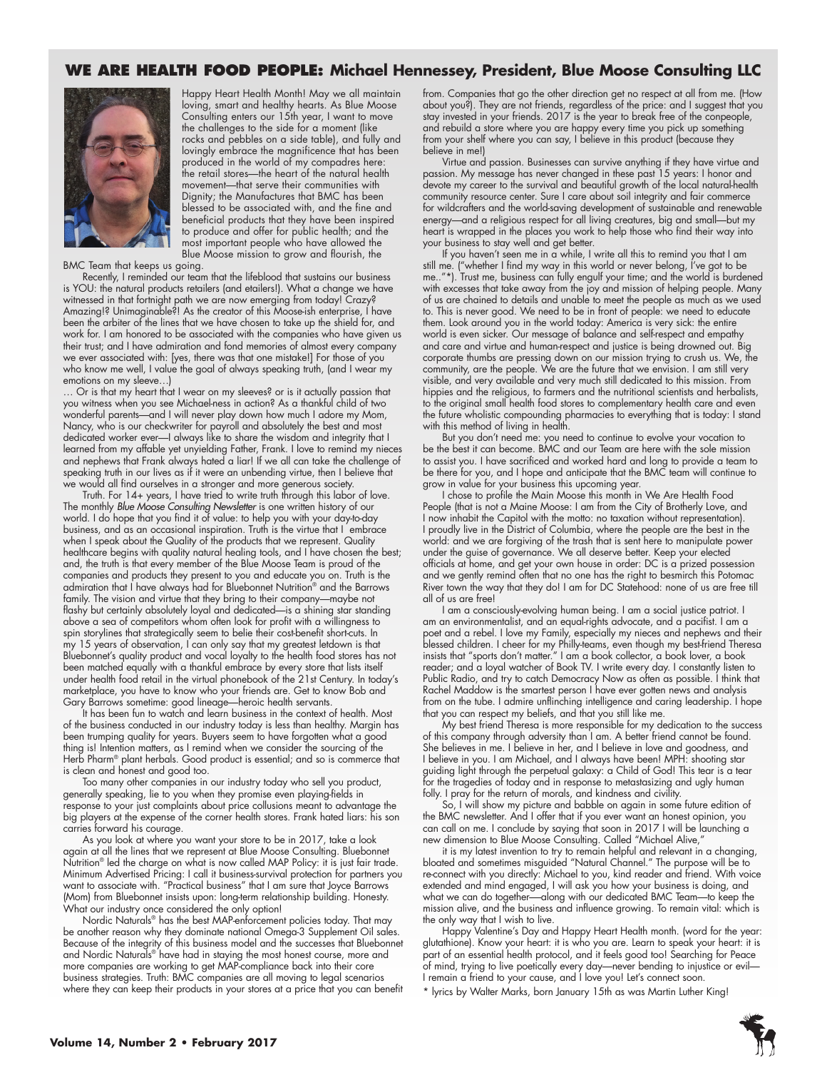### **WE ARE HEALTH FOOD PEOPLE: Michael Hennessey, President, Blue Moose Consulting LLC**



Happy Heart Health Month! May we all maintain loving, smart and healthy hearts. As Blue Moose Consulting enters our 15th year, I want to move the challenges to the side for a moment (like rocks and pebbles on a side table), and fully and lovingly embrace the magnificence that has been produced in the world of my compadres here: the retail stores—the heart of the natural health movement—that serve their communities with Dignity; the Manufactures that BMC has been blessed to be associated with, and the fine and beneficial products that they have been inspired to produce and offer for public health; and the most important people who have allowed the Blue Moose mission to grow and flourish, the

BMC Team that keeps us going.

Recently, I reminded our team that the lifeblood that sustains our business is YOU: the natural products retailers (and etailers!). What a change we have witnessed in that fortnight path we are now emerging from today! Crazy? Amazing!? Unimaginable?! As the creator of this Moose-ish enterprise, I have been the arbiter of the lines that we have chosen to take up the shield for, and work for. I am honored to be associated with the companies who have given us their trust; and I have admiration and fond memories of almost every company we ever associated with: [yes, there was that one mistake!] For those of you who know me well, I value the goal of always speaking truth, (and I wear my emotions on my sleeve…)

... Or is that my heart that I wear on my sleeves? or is it actually passion that you witness when you see Michael-ness in action? As a thankful child of two wonderful parents—and I will never play down how much I adore my Mom, Nancy, who is our checkwriter for payroll and absolutely the best and most dedicated worker ever—I always like to share the wisdom and integrity that I learned from my affable yet unyielding Father, Frank. I love to remind my nieces and nephews that Frank always hated a liar! If we all can take the challenge of speaking truth in our lives as if it were an unbending virtue, then I believe that we would all find ourselves in a stronger and more generous society.

Truth. For 14+ years, I have tried to write truth through this labor of love. The monthly *Blue Moose Consulting Newsletter* is one written history of our world. I do hope that you find it of value: to help you with your day-to-day business, and as an occasional inspiration. Truth is the virtue that I embrace when I speak about the Quality of the products that we represent. Quality healthcare begins with quality natural healing tools, and I have chosen the best; and, the truth is that every member of the Blue Moose Team is proud of the companies and products they present to you and educate you on. Truth is the admiration that I have always had for Bluebonnet Nutrition® and the Barrows family. The vision and virtue that they bring to their company—maybe not flashy but certainly absolutely loyal and dedicated—is a shining star standing above a sea of competitors whom often look for profit with a willingness to spin storylines that strategically seem to belie their cost-benefit short-cuts. In my 15 years of observation, I can only say that my greatest letdown is that Bluebonnet's quality product and vocal loyalty to the health food stores has not been matched equally with a thankful embrace by every store that lists itself under health food retail in the virtual phonebook of the 21st Century. In today's marketplace, you have to know who your friends are. Get to know Bob and Gary Barrows sometime: good lineage—heroic health servants.

It has been fun to watch and learn business in the context of health. Most of the business conducted in our industry today is less than healthy. Margin has been trumping quality for years. Buyers seem to have forgotten what a good thing is! Intention matters, as I remind when we consider the sourcing of the Herb Pharm<sup>®</sup> plant herbals. Good product is essential; and so is commerce that is clean and honest and good too.

Too many other companies in our industry today who sell you product, generally speaking, lie to you when they promise even playing-fields in response to your just complaints about price collusions meant to advantage the big players at the expense of the corner health stores. Frank hated liars: his son carries forward his courage.

As you look at where you want your store to be in 2017, take a look again at all the lines that we represent at Blue Moose Consulting. Bluebonnet Nutrition® led the charge on what is now called MAP Policy: it is just fair trade. Minimum Advertised Pricing: I call it business-survival protection for partners you want to associate with. "Practical business" that I am sure that Joyce Barrows (Mom) from Bluebonnet insists upon: long-term relationship building. Honesty. What our industry once considered the only option!

Nordic Naturals® has the best MAP-enforcement policies today. That may be another reason why they dominate national Omega-3 Supplement Oil sales. Because of the integrity of this business model and the successes that Bluebonnet and Nordic Naturals® have had in staying the most honest course, more and more companies are working to get MAP-compliance back into their core business strategies. Truth: BMC companies are all moving to legal scenarios where they can keep their products in your stores at a price that you can benefit

from. Companies that go the other direction get no respect at all from me. (How about you?). They are not friends, regardless of the price: and I suggest that you stay invested in your friends. 2017 is the year to break free of the conpeople, and rebuild a store where you are happy every time you pick up something from your shelf where you can say, I believe in this product (because they believe in me!)

Virtue and passion. Businesses can survive anything if they have virtue and passion. My message has never changed in these past 15 years: I honor and devote my career to the survival and beautiful growth of the local natural-health community resource center. Sure I care about soil integrity and fair commerce for wildcrafters and the world-saving development of sustainable and renewable energy—and a religious respect for all living creatures, big and small—but my heart is wrapped in the places you work to help those who find their way into your business to stay well and get better.

If you haven't seen me in a while, I write all this to remind you that I am still me. ("whether I find my way in this world or never belong, I've got to be me.."\*). Trust me, business can fully engulf your time; and the world is burdened with excesses that take away from the joy and mission of helping people. Many of us are chained to details and unable to meet the people as much as we used to. This is never good. We need to be in front of people: we need to educate them. Look around you in the world today: America is very sick: the entire world is even sicker. Our message of balance and self-respect and empathy and care and virtue and human-respect and justice is being drowned out. Big corporate thumbs are pressing down on our mission trying to crush us. We, the community, are the people. We are the future that we envision. I am still very visible, and very available and very much still dedicated to this mission. From hippies and the religious, to farmers and the nutritional scientists and herbalists, to the original small health food stores to complementary health care and even the future wholistic compounding pharmacies to everything that is today: I stand with this method of living in health.

But you don't need me: you need to continue to evolve your vocation to be the best it can become. BMC and our Team are here with the sole mission to assist you. I have sacrificed and worked hard and long to provide a team to be there for you, and I hope and anticipate that the BMC team will continue to grow in value for your business this upcoming year.

I chose to profile the Main Moose this month in We Are Health Food People (that is not a Maine Moose: I am from the City of Brotherly Love, and I now inhabit the Capitol with the motto: no taxation without representation). I proudly live in the District of Columbia, where the people are the best in the world: and we are forgiving of the trash that is sent here to manipulate power under the guise of governance. We all deserve better. Keep your elected officials at home, and get your own house in order: DC is a prized possession and we gently remind often that no one has the right to besmirch this Potomac River town the way that they do! I am for DC Statehood: none of us are free till all of us are free!

I am a consciously-evolving human being. I am a social justice patriot. I am an environmentalist, and an equal-rights advocate, and a pacifist. I am a poet and a rebel. I love my Family, especially my nieces and nephews and their blessed children. I cheer for my Philly-teams, even though my best-friend Theresa insists that "sports don't matter." I am a book collector, a book lover, a book reader; and a loyal watcher of Book TV. I write every day. I constantly listen to Public Radio, and try to catch Democracy Now as often as possible. I think that Rachel Maddow is the smartest person I have ever gotten news and analysis from on the tube. I admire unflinching intelligence and caring leadership. I hope that you can respect my beliefs, and that you still like me.

My best friend Theresa is more responsible for my dedication to the success of this company through adversity than I am. A better friend cannot be found. She believes in me. I believe in her, and I believe in love and goodness, and I believe in you. I am Michael, and I always have been! MPH: shooting star guiding light through the perpetual galaxy: a Child of God! This tear is a tear for the tragedies of today and in response to metastasizing and ugly human folly. I pray for the return of morals, and kindness and civility.

So, I will show my picture and babble on again in some future edition of the BMC newsletter. And I offer that if you ever want an honest opinion, you can call on me. I conclude by saying that soon in 2017 I will be launching a new dimension to Blue Moose Consulting. Called "Michael Alive,"

it is my latest invention to try to remain helpful and relevant in a changing, bloated and sometimes misguided "Natural Channel." The purpose will be to re-connect with you directly: Michael to you, kind reader and friend. With voice extended and mind engaged, I will ask you how your business is doing, and what we can do together-along with our dedicated BMC Team-to keep the mission alive, and the business and influence growing. To remain vital: which is the only way that I wish to live.

Happy Valentine's Day and Happy Heart Health month. (word for the year: glutathione). Know your heart: it is who you are. Learn to speak your heart: it is part of an essential health protocol, and it feels good too! Searching for Peace of mind, trying to live poetically every day—never bending to injustice or evil— I remain a friend to your cause, and I love you! Let's connect soon.

\* lyrics by Walter Marks, born January 15th as was Martin Luther King!